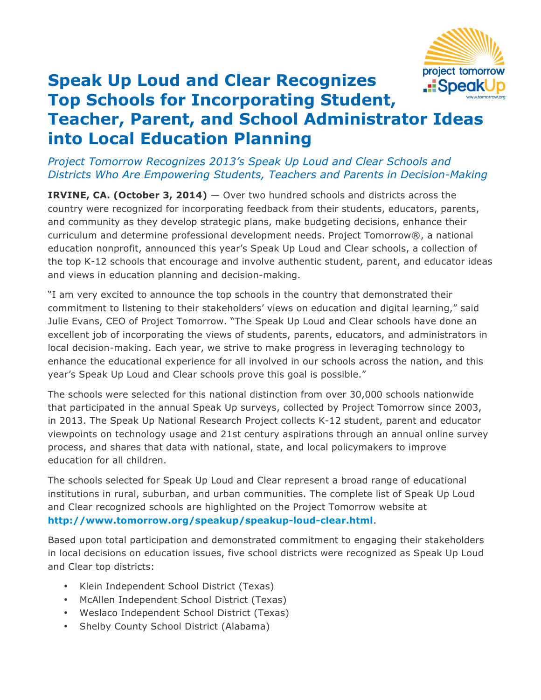

## **Speak Up Loud and Clear Recognizes .::**Speak **Top Schools for Incorporating Student, Teacher, Parent, and School Administrator Ideas into Local Education Planning**

*Project Tomorrow Recognizes 2013's Speak Up Loud and Clear Schools and Districts Who Are Empowering Students, Teachers and Parents in Decision-Making*

**IRVINE, CA. (October 3, 2014)** — Over two hundred schools and districts across the country were recognized for incorporating feedback from their students, educators, parents, and community as they develop strategic plans, make budgeting decisions, enhance their curriculum and determine professional development needs. Project Tomorrow®, a national education nonprofit, announced this year's Speak Up Loud and Clear schools, a collection of the top K-12 schools that encourage and involve authentic student, parent, and educator ideas and views in education planning and decision-making.

"I am very excited to announce the top schools in the country that demonstrated their commitment to listening to their stakeholders' views on education and digital learning," said Julie Evans, CEO of Project Tomorrow. "The Speak Up Loud and Clear schools have done an excellent job of incorporating the views of students, parents, educators, and administrators in local decision-making. Each year, we strive to make progress in leveraging technology to enhance the educational experience for all involved in our schools across the nation, and this year's Speak Up Loud and Clear schools prove this goal is possible."

The schools were selected for this national distinction from over 30,000 schools nationwide that participated in the annual Speak Up surveys, collected by Project Tomorrow since 2003, in 2013. The Speak Up National Research Project collects K-12 student, parent and educator viewpoints on technology usage and 21st century aspirations through an annual online survey process, and shares that data with national, state, and local policymakers to improve education for all children.

The schools selected for Speak Up Loud and Clear represent a broad range of educational institutions in rural, suburban, and urban communities. The complete list of Speak Up Loud and Clear recognized schools are highlighted on the Project Tomorrow website at **http://www.tomorrow.org/speakup/speakup-loud-clear.html**.

Based upon total participation and demonstrated commitment to engaging their stakeholders in local decisions on education issues, five school districts were recognized as Speak Up Loud and Clear top districts:

- Klein Independent School District (Texas)
- McAllen Independent School District (Texas)
- Weslaco Independent School District (Texas)
- Shelby County School District (Alabama)